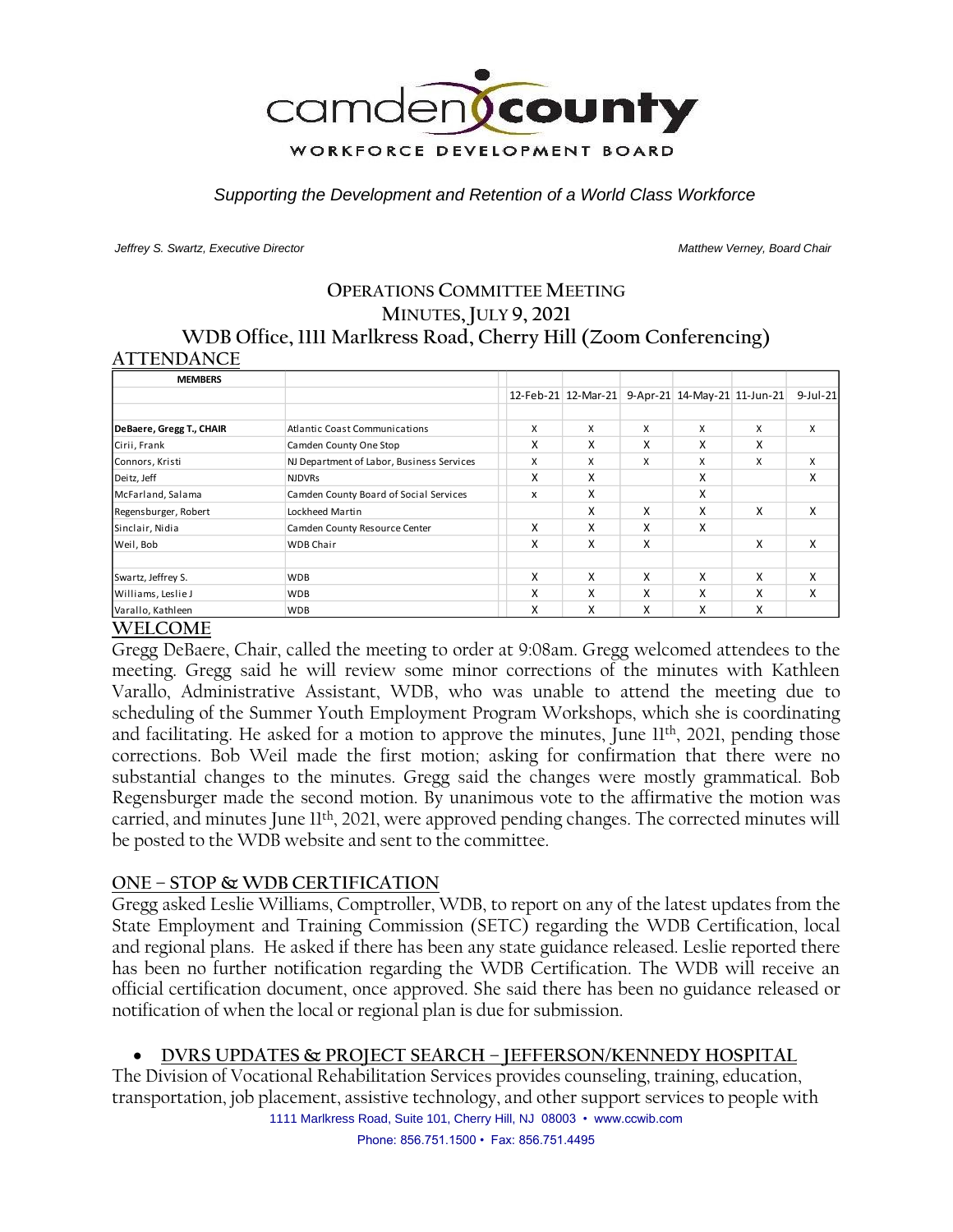

*Supporting the Development and Retention of a World Class Workforce*

*Jeffrey S. Swartz, Executive Director Matthew Verney, Board Chair* 

# **OPERATIONS COMMITTEE MEETING MINUTES, JULY 9, 2021 WDB Office, 1111 Marlkress Road, Cherry Hill (Zoom Conferencing)**

#### **ATTENDANCE**

| <b>MEMBERS</b>           |                                           |   |                     |   |                              |   |             |
|--------------------------|-------------------------------------------|---|---------------------|---|------------------------------|---|-------------|
|                          |                                           |   | 12-Feb-21 12-Mar-21 |   | 9-Apr-21 14-May-21 11-Jun-21 |   | $9$ -Jul-21 |
|                          |                                           |   |                     |   |                              |   |             |
| DeBaere, Gregg T., CHAIR | <b>Atlantic Coast Communications</b>      | X | X                   | X | X                            | X | $\times$    |
| Cirii, Frank             | Camden County One Stop                    | x | x                   | x | x                            | X |             |
| Connors, Kristi          | NJ Department of Labor, Business Services | X | X                   | X | X                            | X | X           |
| Deitz, Jeff              | <b>NJDVRs</b>                             | x | x                   |   | X                            |   | X           |
| McFarland, Salama        | Camden County Board of Social Services    | x | x                   |   | X                            |   |             |
| Regensburger, Robert     | Lockheed Martin                           |   | x                   | X | X                            | x | X           |
| Sinclair, Nidia          | Camden County Resource Center             | X | x                   | X | X                            |   |             |
| Weil, Bob                | <b>WDB Chair</b>                          | x | x                   | X |                              | X | X           |
| Swartz, Jeffrey S.       | <b>WDB</b>                                | X | X                   | X | X                            | X | X           |
| Williams, Leslie J       | <b>WDB</b>                                | x | x                   | x | X                            | x | X           |
| Varallo, Kathleen        | <b>WDB</b>                                | X | x                   | X | X                            | X |             |

#### **WELCOME**

Gregg DeBaere, Chair, called the meeting to order at 9:08am. Gregg welcomed attendees to the meeting. Gregg said he will review some minor corrections of the minutes with Kathleen Varallo, Administrative Assistant, WDB, who was unable to attend the meeting due to scheduling of the Summer Youth Employment Program Workshops, which she is coordinating and facilitating. He asked for a motion to approve the minutes, June 11<sup>th</sup>, 2021, pending those corrections. Bob Weil made the first motion; asking for confirmation that there were no substantial changes to the minutes. Gregg said the changes were mostly grammatical. Bob Regensburger made the second motion. By unanimous vote to the affirmative the motion was carried, and minutes June 11<sup>th</sup>, 2021, were approved pending changes. The corrected minutes will be posted to the WDB website and sent to the committee.

#### **ONE – STOP & WDB CERTIFICATION**

Gregg asked Leslie Williams, Comptroller, WDB, to report on any of the latest updates from the State Employment and Training Commission (SETC) regarding the WDB Certification, local and regional plans. He asked if there has been any state guidance released. Leslie reported there has been no further notification regarding the WDB Certification. The WDB will receive an official certification document, once approved. She said there has been no guidance released or notification of when the local or regional plan is due for submission.

# • **DVRS UPDATES & PROJECT SEARCH – JEFFERSON/KENNEDY HOSPITAL**

1111 Marlkress Road, Suite 101, Cherry Hill, NJ 08003 • www.ccwib.com The Division of Vocational Rehabilitation Services provides counseling, training, education, transportation, job placement, assistive technology, and other support services to people with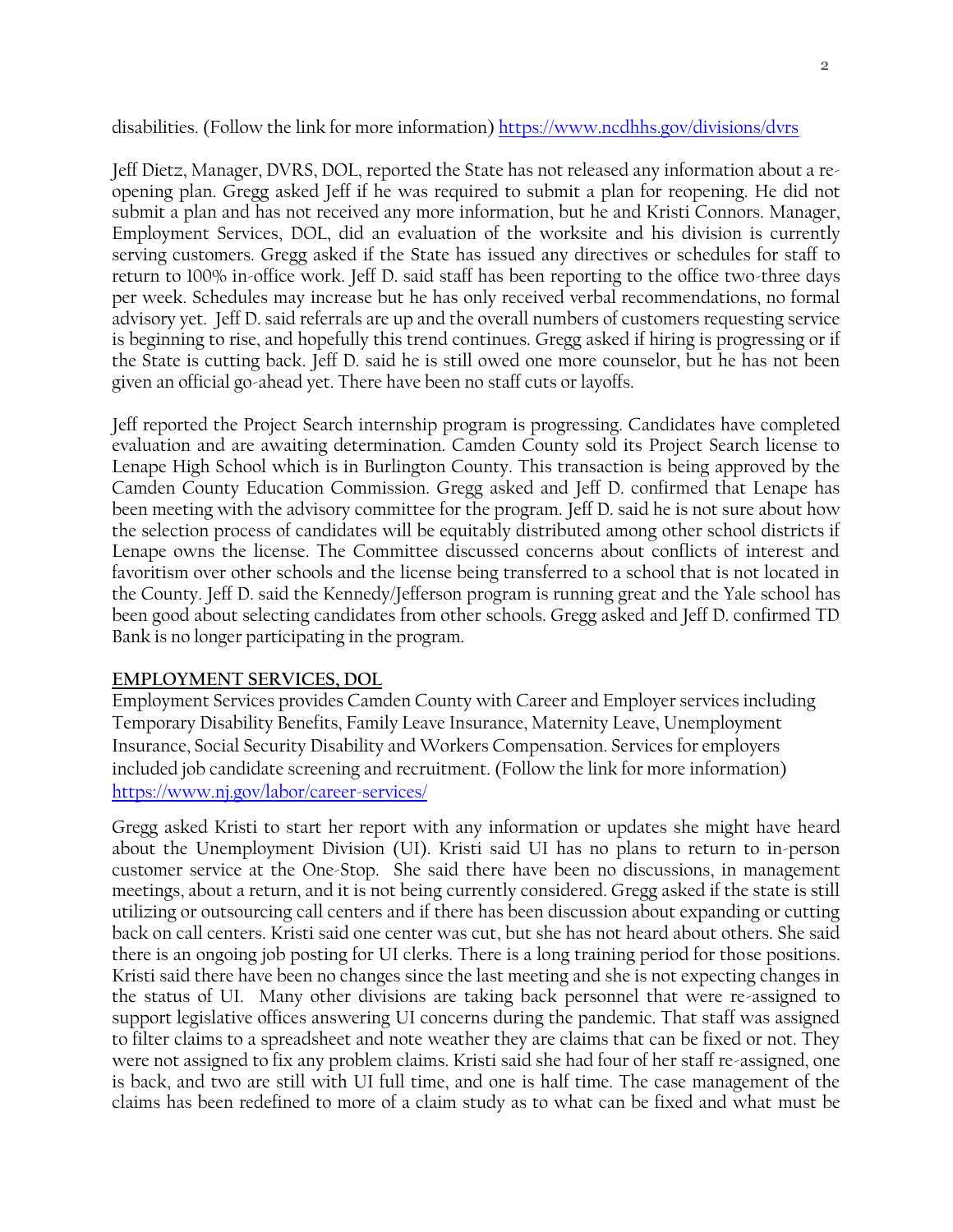disabilities. (Follow the link for more information)<https://www.ncdhhs.gov/divisions/dvrs>

Jeff Dietz, Manager, DVRS, DOL, reported the State has not released any information about a reopening plan. Gregg asked Jeff if he was required to submit a plan for reopening. He did not submit a plan and has not received any more information, but he and Kristi Connors. Manager, Employment Services, DOL, did an evaluation of the worksite and his division is currently serving customers. Gregg asked if the State has issued any directives or schedules for staff to return to 100% in-office work. Jeff D. said staff has been reporting to the office two-three days per week. Schedules may increase but he has only received verbal recommendations, no formal advisory yet. Jeff D. said referrals are up and the overall numbers of customers requesting service is beginning to rise, and hopefully this trend continues. Gregg asked if hiring is progressing or if the State is cutting back. Jeff D. said he is still owed one more counselor, but he has not been given an official go-ahead yet. There have been no staff cuts or layoffs.

Jeff reported the Project Search internship program is progressing. Candidates have completed evaluation and are awaiting determination. Camden County sold its Project Search license to Lenape High School which is in Burlington County. This transaction is being approved by the Camden County Education Commission. Gregg asked and Jeff D. confirmed that Lenape has been meeting with the advisory committee for the program. Jeff D. said he is not sure about how the selection process of candidates will be equitably distributed among other school districts if Lenape owns the license. The Committee discussed concerns about conflicts of interest and favoritism over other schools and the license being transferred to a school that is not located in the County. Jeff D. said the Kennedy/Jefferson program is running great and the Yale school has been good about selecting candidates from other schools. Gregg asked and Jeff D. confirmed TD Bank is no longer participating in the program.

# **EMPLOYMENT SERVICES, DOL**

Employment Services provides Camden County with Career and Employer services including Temporary Disability Benefits, Family Leave Insurance, Maternity Leave, Unemployment Insurance, Social Security Disability and Workers Compensation. Services for employers included job candidate screening and recruitment. (Follow the link for more information) <https://www.nj.gov/labor/career-services/>

Gregg asked Kristi to start her report with any information or updates she might have heard about the Unemployment Division (UI). Kristi said UI has no plans to return to in-person customer service at the One-Stop. She said there have been no discussions, in management meetings, about a return, and it is not being currently considered. Gregg asked if the state is still utilizing or outsourcing call centers and if there has been discussion about expanding or cutting back on call centers. Kristi said one center was cut, but she has not heard about others. She said there is an ongoing job posting for UI clerks. There is a long training period for those positions. Kristi said there have been no changes since the last meeting and she is not expecting changes in the status of UI. Many other divisions are taking back personnel that were re-assigned to support legislative offices answering UI concerns during the pandemic. That staff was assigned to filter claims to a spreadsheet and note weather they are claims that can be fixed or not. They were not assigned to fix any problem claims. Kristi said she had four of her staff re-assigned, one is back, and two are still with UI full time, and one is half time. The case management of the claims has been redefined to more of a claim study as to what can be fixed and what must be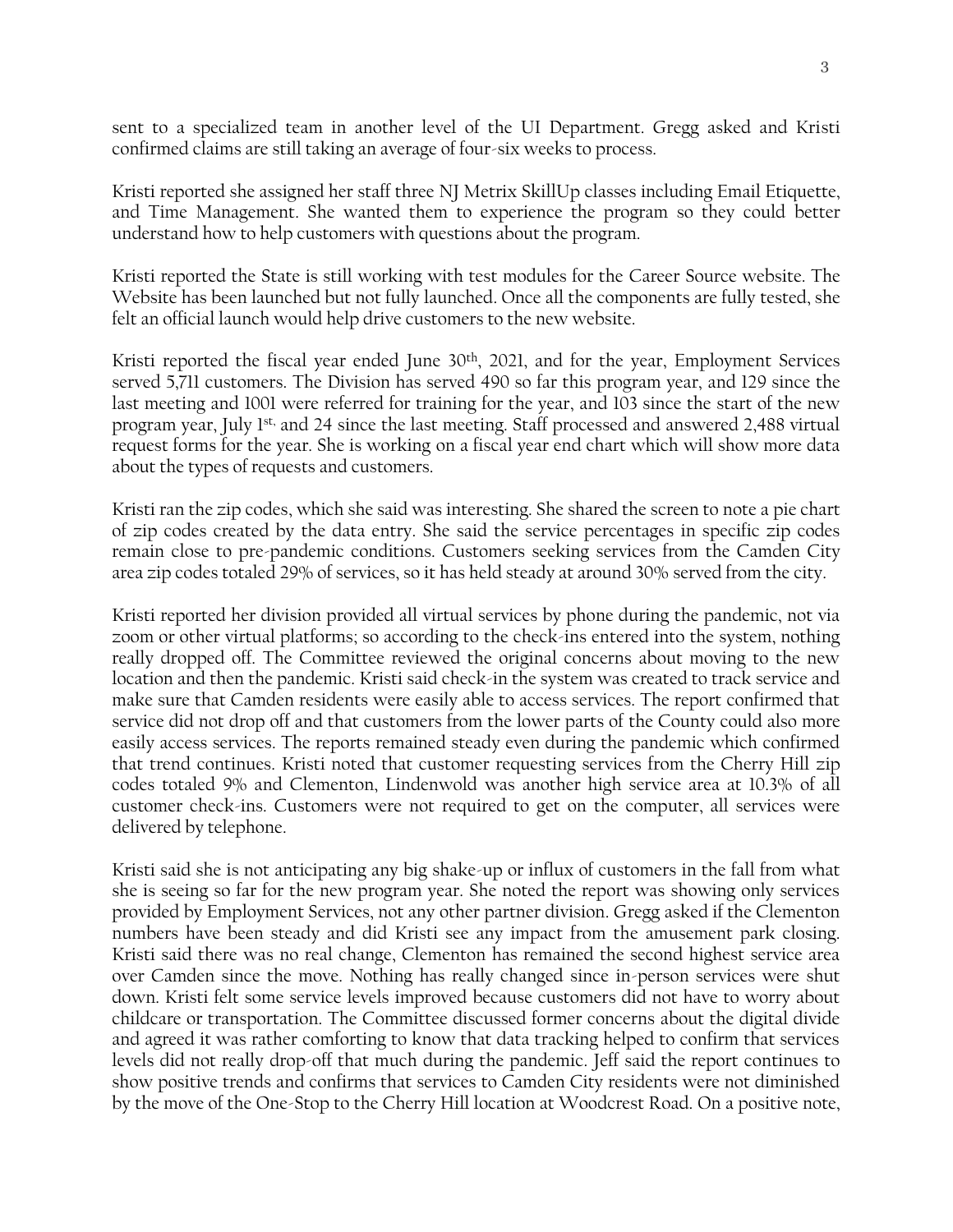sent to a specialized team in another level of the UI Department. Gregg asked and Kristi confirmed claims are still taking an average of four-six weeks to process.

Kristi reported she assigned her staff three NJ Metrix SkillUp classes including Email Etiquette, and Time Management. She wanted them to experience the program so they could better understand how to help customers with questions about the program.

Kristi reported the State is still working with test modules for the Career Source website. The Website has been launched but not fully launched. Once all the components are fully tested, she felt an official launch would help drive customers to the new website.

Kristi reported the fiscal year ended June 30<sup>th</sup>, 2021, and for the year, Employment Services served 5,711 customers. The Division has served 490 so far this program year, and 129 since the last meeting and 1001 were referred for training for the year, and 103 since the start of the new program year, July 1st, and 24 since the last meeting. Staff processed and answered 2,488 virtual request forms for the year. She is working on a fiscal year end chart which will show more data about the types of requests and customers.

Kristi ran the zip codes, which she said was interesting. She shared the screen to note a pie chart of zip codes created by the data entry. She said the service percentages in specific zip codes remain close to pre-pandemic conditions. Customers seeking services from the Camden City area zip codes totaled 29% of services, so it has held steady at around 30% served from the city.

Kristi reported her division provided all virtual services by phone during the pandemic, not via zoom or other virtual platforms; so according to the check-ins entered into the system, nothing really dropped off. The Committee reviewed the original concerns about moving to the new location and then the pandemic. Kristi said check-in the system was created to track service and make sure that Camden residents were easily able to access services. The report confirmed that service did not drop off and that customers from the lower parts of the County could also more easily access services. The reports remained steady even during the pandemic which confirmed that trend continues. Kristi noted that customer requesting services from the Cherry Hill zip codes totaled 9% and Clementon, Lindenwold was another high service area at 10.3% of all customer check-ins. Customers were not required to get on the computer, all services were delivered by telephone.

Kristi said she is not anticipating any big shake-up or influx of customers in the fall from what she is seeing so far for the new program year. She noted the report was showing only services provided by Employment Services, not any other partner division. Gregg asked if the Clementon numbers have been steady and did Kristi see any impact from the amusement park closing. Kristi said there was no real change, Clementon has remained the second highest service area over Camden since the move. Nothing has really changed since in-person services were shut down. Kristi felt some service levels improved because customers did not have to worry about childcare or transportation. The Committee discussed former concerns about the digital divide and agreed it was rather comforting to know that data tracking helped to confirm that services levels did not really drop-off that much during the pandemic. Jeff said the report continues to show positive trends and confirms that services to Camden City residents were not diminished by the move of the One-Stop to the Cherry Hill location at Woodcrest Road. On a positive note,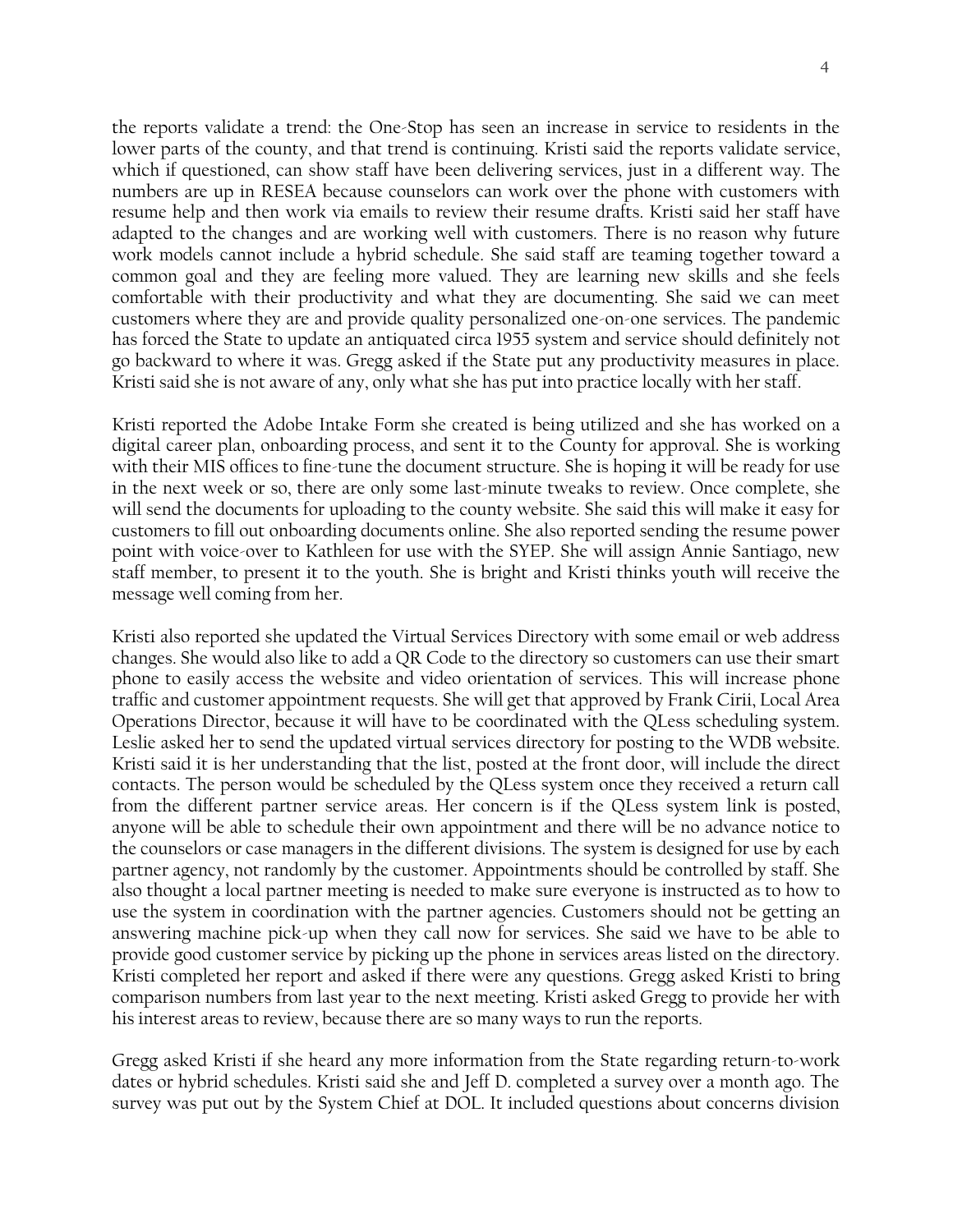the reports validate a trend: the One-Stop has seen an increase in service to residents in the lower parts of the county, and that trend is continuing. Kristi said the reports validate service, which if questioned, can show staff have been delivering services, just in a different way. The numbers are up in RESEA because counselors can work over the phone with customers with resume help and then work via emails to review their resume drafts. Kristi said her staff have adapted to the changes and are working well with customers. There is no reason why future work models cannot include a hybrid schedule. She said staff are teaming together toward a common goal and they are feeling more valued. They are learning new skills and she feels comfortable with their productivity and what they are documenting. She said we can meet customers where they are and provide quality personalized one-on-one services. The pandemic has forced the State to update an antiquated circa 1955 system and service should definitely not go backward to where it was. Gregg asked if the State put any productivity measures in place. Kristi said she is not aware of any, only what she has put into practice locally with her staff.

Kristi reported the Adobe Intake Form she created is being utilized and she has worked on a digital career plan, onboarding process, and sent it to the County for approval. She is working with their MIS offices to fine-tune the document structure. She is hoping it will be ready for use in the next week or so, there are only some last-minute tweaks to review. Once complete, she will send the documents for uploading to the county website. She said this will make it easy for customers to fill out onboarding documents online. She also reported sending the resume power point with voice-over to Kathleen for use with the SYEP. She will assign Annie Santiago, new staff member, to present it to the youth. She is bright and Kristi thinks youth will receive the message well coming from her.

Kristi also reported she updated the Virtual Services Directory with some email or web address changes. She would also like to add a QR Code to the directory so customers can use their smart phone to easily access the website and video orientation of services. This will increase phone traffic and customer appointment requests. She will get that approved by Frank Cirii, Local Area Operations Director, because it will have to be coordinated with the QLess scheduling system. Leslie asked her to send the updated virtual services directory for posting to the WDB website. Kristi said it is her understanding that the list, posted at the front door, will include the direct contacts. The person would be scheduled by the QLess system once they received a return call from the different partner service areas. Her concern is if the QLess system link is posted, anyone will be able to schedule their own appointment and there will be no advance notice to the counselors or case managers in the different divisions. The system is designed for use by each partner agency, not randomly by the customer. Appointments should be controlled by staff. She also thought a local partner meeting is needed to make sure everyone is instructed as to how to use the system in coordination with the partner agencies. Customers should not be getting an answering machine pick-up when they call now for services. She said we have to be able to provide good customer service by picking up the phone in services areas listed on the directory. Kristi completed her report and asked if there were any questions. Gregg asked Kristi to bring comparison numbers from last year to the next meeting. Kristi asked Gregg to provide her with his interest areas to review, because there are so many ways to run the reports.

Gregg asked Kristi if she heard any more information from the State regarding return-to-work dates or hybrid schedules. Kristi said she and Jeff D. completed a survey over a month ago. The survey was put out by the System Chief at DOL. It included questions about concerns division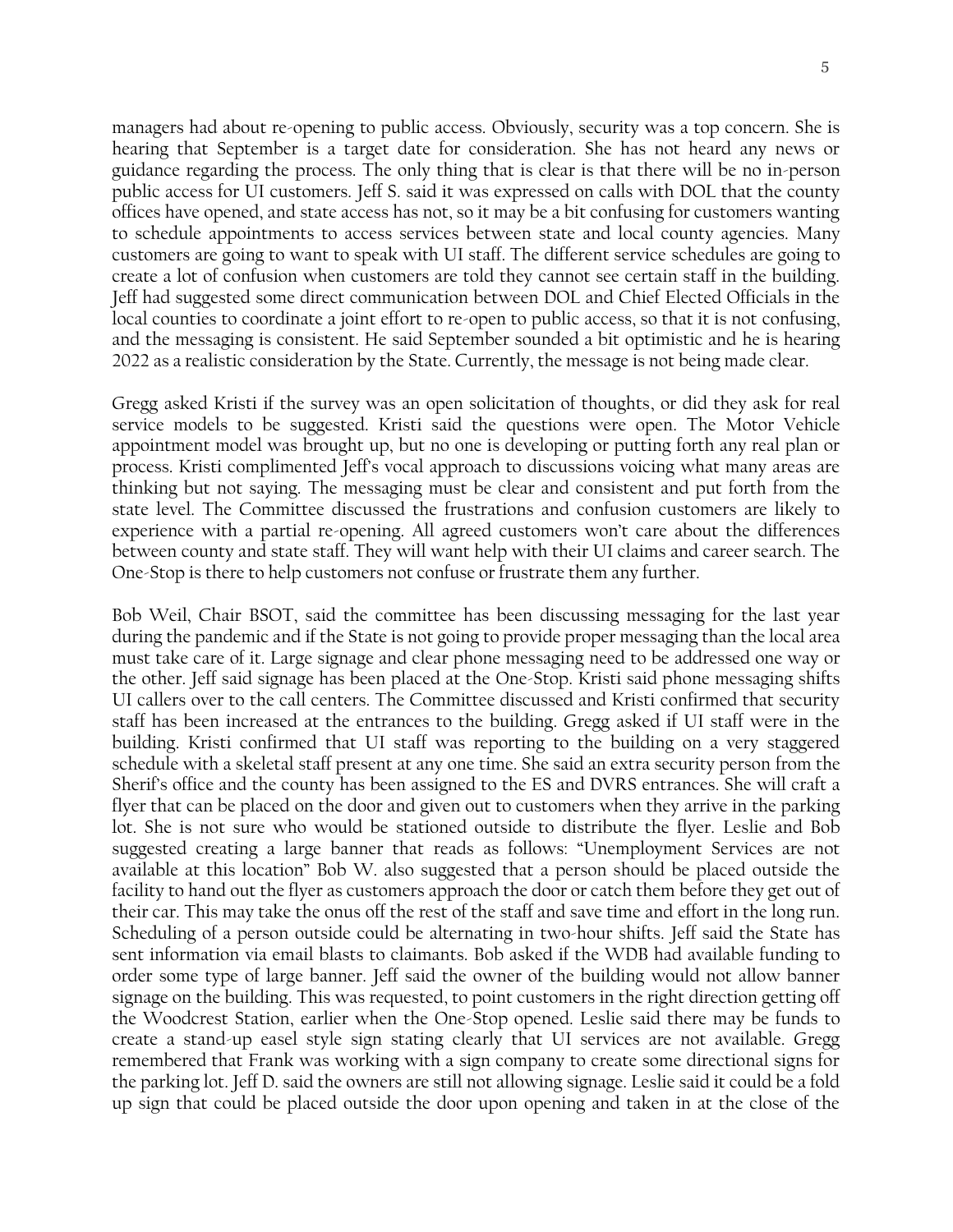managers had about re-opening to public access. Obviously, security was a top concern. She is hearing that September is a target date for consideration. She has not heard any news or guidance regarding the process. The only thing that is clear is that there will be no in-person public access for UI customers. Jeff S. said it was expressed on calls with DOL that the county offices have opened, and state access has not, so it may be a bit confusing for customers wanting to schedule appointments to access services between state and local county agencies. Many customers are going to want to speak with UI staff. The different service schedules are going to create a lot of confusion when customers are told they cannot see certain staff in the building. Jeff had suggested some direct communication between DOL and Chief Elected Officials in the local counties to coordinate a joint effort to re-open to public access, so that it is not confusing, and the messaging is consistent. He said September sounded a bit optimistic and he is hearing 2022 as a realistic consideration by the State. Currently, the message is not being made clear.

Gregg asked Kristi if the survey was an open solicitation of thoughts, or did they ask for real service models to be suggested. Kristi said the questions were open. The Motor Vehicle appointment model was brought up, but no one is developing or putting forth any real plan or process. Kristi complimented Jeff's vocal approach to discussions voicing what many areas are thinking but not saying. The messaging must be clear and consistent and put forth from the state level. The Committee discussed the frustrations and confusion customers are likely to experience with a partial re-opening. All agreed customers won't care about the differences between county and state staff. They will want help with their UI claims and career search. The One-Stop is there to help customers not confuse or frustrate them any further.

Bob Weil, Chair BSOT, said the committee has been discussing messaging for the last year during the pandemic and if the State is not going to provide proper messaging than the local area must take care of it. Large signage and clear phone messaging need to be addressed one way or the other. Jeff said signage has been placed at the One-Stop. Kristi said phone messaging shifts UI callers over to the call centers. The Committee discussed and Kristi confirmed that security staff has been increased at the entrances to the building. Gregg asked if UI staff were in the building. Kristi confirmed that UI staff was reporting to the building on a very staggered schedule with a skeletal staff present at any one time. She said an extra security person from the Sherif's office and the county has been assigned to the ES and DVRS entrances. She will craft a flyer that can be placed on the door and given out to customers when they arrive in the parking lot. She is not sure who would be stationed outside to distribute the flyer. Leslie and Bob suggested creating a large banner that reads as follows: "Unemployment Services are not available at this location" Bob W. also suggested that a person should be placed outside the facility to hand out the flyer as customers approach the door or catch them before they get out of their car. This may take the onus off the rest of the staff and save time and effort in the long run. Scheduling of a person outside could be alternating in two-hour shifts. Jeff said the State has sent information via email blasts to claimants. Bob asked if the WDB had available funding to order some type of large banner. Jeff said the owner of the building would not allow banner signage on the building. This was requested, to point customers in the right direction getting off the Woodcrest Station, earlier when the One-Stop opened. Leslie said there may be funds to create a stand-up easel style sign stating clearly that UI services are not available. Gregg remembered that Frank was working with a sign company to create some directional signs for the parking lot. Jeff D. said the owners are still not allowing signage. Leslie said it could be a fold up sign that could be placed outside the door upon opening and taken in at the close of the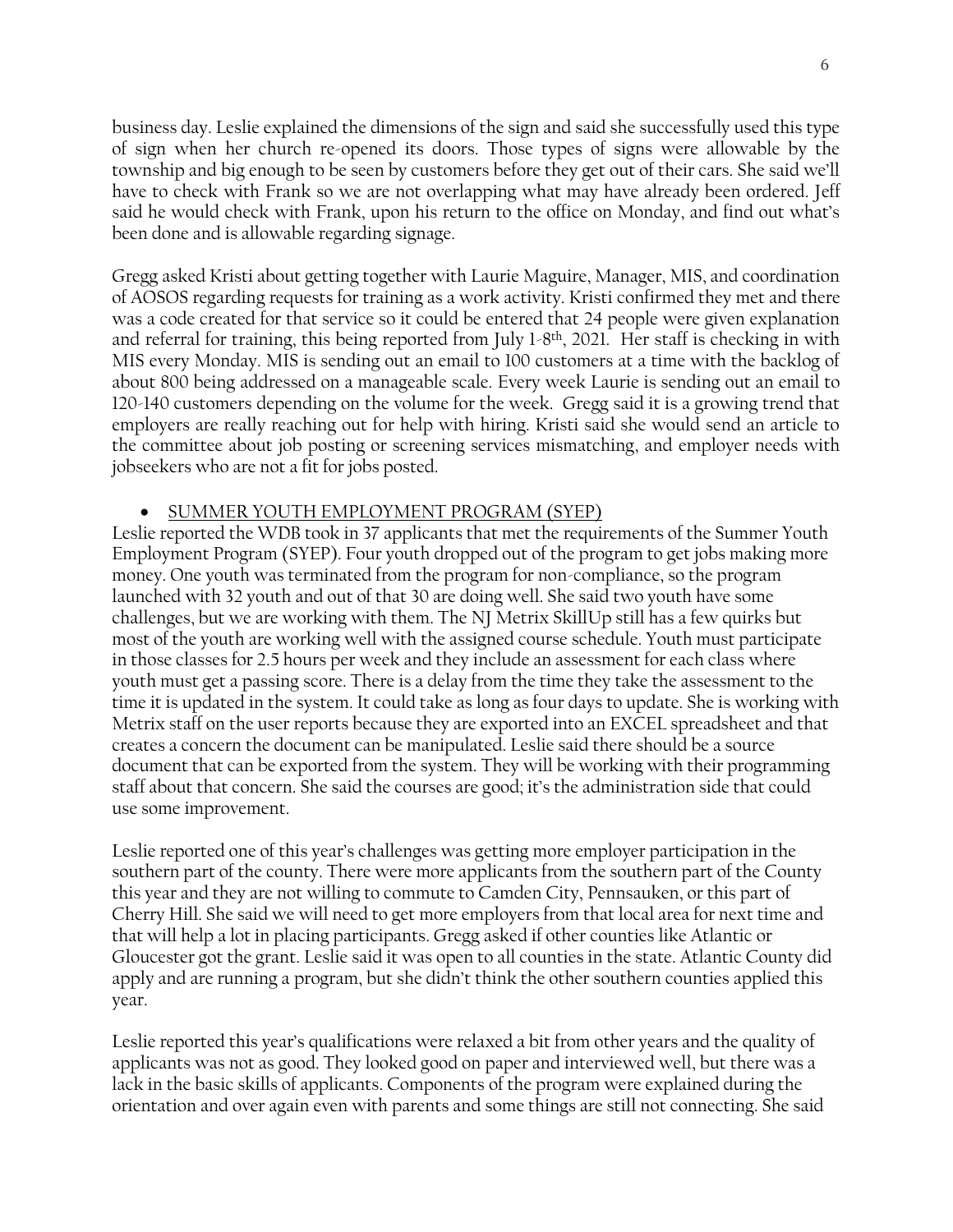business day. Leslie explained the dimensions of the sign and said she successfully used this type of sign when her church re-opened its doors. Those types of signs were allowable by the township and big enough to be seen by customers before they get out of their cars. She said we'll have to check with Frank so we are not overlapping what may have already been ordered. Jeff said he would check with Frank, upon his return to the office on Monday, and find out what's been done and is allowable regarding signage.

Gregg asked Kristi about getting together with Laurie Maguire, Manager, MIS, and coordination of AOSOS regarding requests for training as a work activity. Kristi confirmed they met and there was a code created for that service so it could be entered that 24 people were given explanation and referral for training, this being reported from July 1-8 th, 2021. Her staff is checking in with MIS every Monday. MIS is sending out an email to 100 customers at a time with the backlog of about 800 being addressed on a manageable scale. Every week Laurie is sending out an email to 120-140 customers depending on the volume for the week. Gregg said it is a growing trend that employers are really reaching out for help with hiring. Kristi said she would send an article to the committee about job posting or screening services mismatching, and employer needs with jobseekers who are not a fit for jobs posted.

## • SUMMER YOUTH EMPLOYMENT PROGRAM (SYEP)

Leslie reported the WDB took in 37 applicants that met the requirements of the Summer Youth Employment Program (SYEP). Four youth dropped out of the program to get jobs making more money. One youth was terminated from the program for non-compliance, so the program launched with 32 youth and out of that 30 are doing well. She said two youth have some challenges, but we are working with them. The NJ Metrix SkillUp still has a few quirks but most of the youth are working well with the assigned course schedule. Youth must participate in those classes for 2.5 hours per week and they include an assessment for each class where youth must get a passing score. There is a delay from the time they take the assessment to the time it is updated in the system. It could take as long as four days to update. She is working with Metrix staff on the user reports because they are exported into an EXCEL spreadsheet and that creates a concern the document can be manipulated. Leslie said there should be a source document that can be exported from the system. They will be working with their programming staff about that concern. She said the courses are good; it's the administration side that could use some improvement.

Leslie reported one of this year's challenges was getting more employer participation in the southern part of the county. There were more applicants from the southern part of the County this year and they are not willing to commute to Camden City, Pennsauken, or this part of Cherry Hill. She said we will need to get more employers from that local area for next time and that will help a lot in placing participants. Gregg asked if other counties like Atlantic or Gloucester got the grant. Leslie said it was open to all counties in the state. Atlantic County did apply and are running a program, but she didn't think the other southern counties applied this year.

Leslie reported this year's qualifications were relaxed a bit from other years and the quality of applicants was not as good. They looked good on paper and interviewed well, but there was a lack in the basic skills of applicants. Components of the program were explained during the orientation and over again even with parents and some things are still not connecting. She said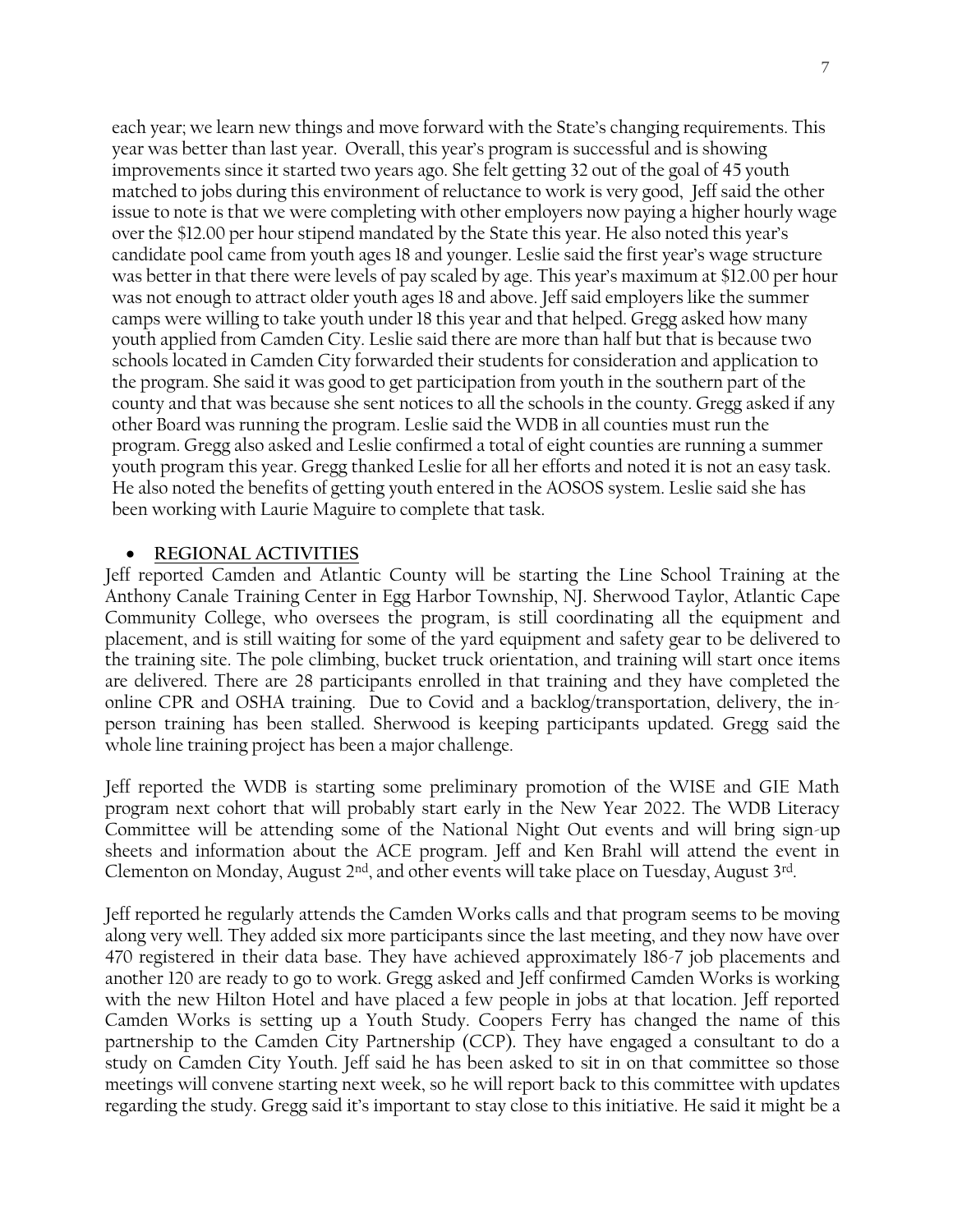each year; we learn new things and move forward with the State's changing requirements. This year was better than last year. Overall, this year's program is successful and is showing improvements since it started two years ago. She felt getting 32 out of the goal of 45 youth matched to jobs during this environment of reluctance to work is very good, Jeff said the other issue to note is that we were completing with other employers now paying a higher hourly wage over the \$12.00 per hour stipend mandated by the State this year. He also noted this year's candidate pool came from youth ages 18 and younger. Leslie said the first year's wage structure was better in that there were levels of pay scaled by age. This year's maximum at \$12.00 per hour was not enough to attract older youth ages 18 and above. Jeff said employers like the summer camps were willing to take youth under 18 this year and that helped. Gregg asked how many youth applied from Camden City. Leslie said there are more than half but that is because two schools located in Camden City forwarded their students for consideration and application to the program. She said it was good to get participation from youth in the southern part of the county and that was because she sent notices to all the schools in the county. Gregg asked if any other Board was running the program. Leslie said the WDB in all counties must run the program. Gregg also asked and Leslie confirmed a total of eight counties are running a summer youth program this year. Gregg thanked Leslie for all her efforts and noted it is not an easy task. He also noted the benefits of getting youth entered in the AOSOS system. Leslie said she has been working with Laurie Maguire to complete that task.

#### • **REGIONAL ACTIVITIES**

Jeff reported Camden and Atlantic County will be starting the Line School Training at the Anthony Canale Training Center in Egg Harbor Township, NJ. Sherwood Taylor, Atlantic Cape Community College, who oversees the program, is still coordinating all the equipment and placement, and is still waiting for some of the yard equipment and safety gear to be delivered to the training site. The pole climbing, bucket truck orientation, and training will start once items are delivered. There are 28 participants enrolled in that training and they have completed the online CPR and OSHA training. Due to Covid and a backlog/transportation, delivery, the inperson training has been stalled. Sherwood is keeping participants updated. Gregg said the whole line training project has been a major challenge.

Jeff reported the WDB is starting some preliminary promotion of the WISE and GIE Math program next cohort that will probably start early in the New Year 2022. The WDB Literacy Committee will be attending some of the National Night Out events and will bring sign-up sheets and information about the ACE program. Jeff and Ken Brahl will attend the event in Clementon on Monday, August  $2<sup>nd</sup>$ , and other events will take place on Tuesday, August  $3<sup>rd</sup>$ .

Jeff reported he regularly attends the Camden Works calls and that program seems to be moving along very well. They added six more participants since the last meeting, and they now have over 470 registered in their data base. They have achieved approximately 186-7 job placements and another 120 are ready to go to work. Gregg asked and Jeff confirmed Camden Works is working with the new Hilton Hotel and have placed a few people in jobs at that location. Jeff reported Camden Works is setting up a Youth Study. Coopers Ferry has changed the name of this partnership to the Camden City Partnership (CCP). They have engaged a consultant to do a study on Camden City Youth. Jeff said he has been asked to sit in on that committee so those meetings will convene starting next week, so he will report back to this committee with updates regarding the study. Gregg said it's important to stay close to this initiative. He said it might be a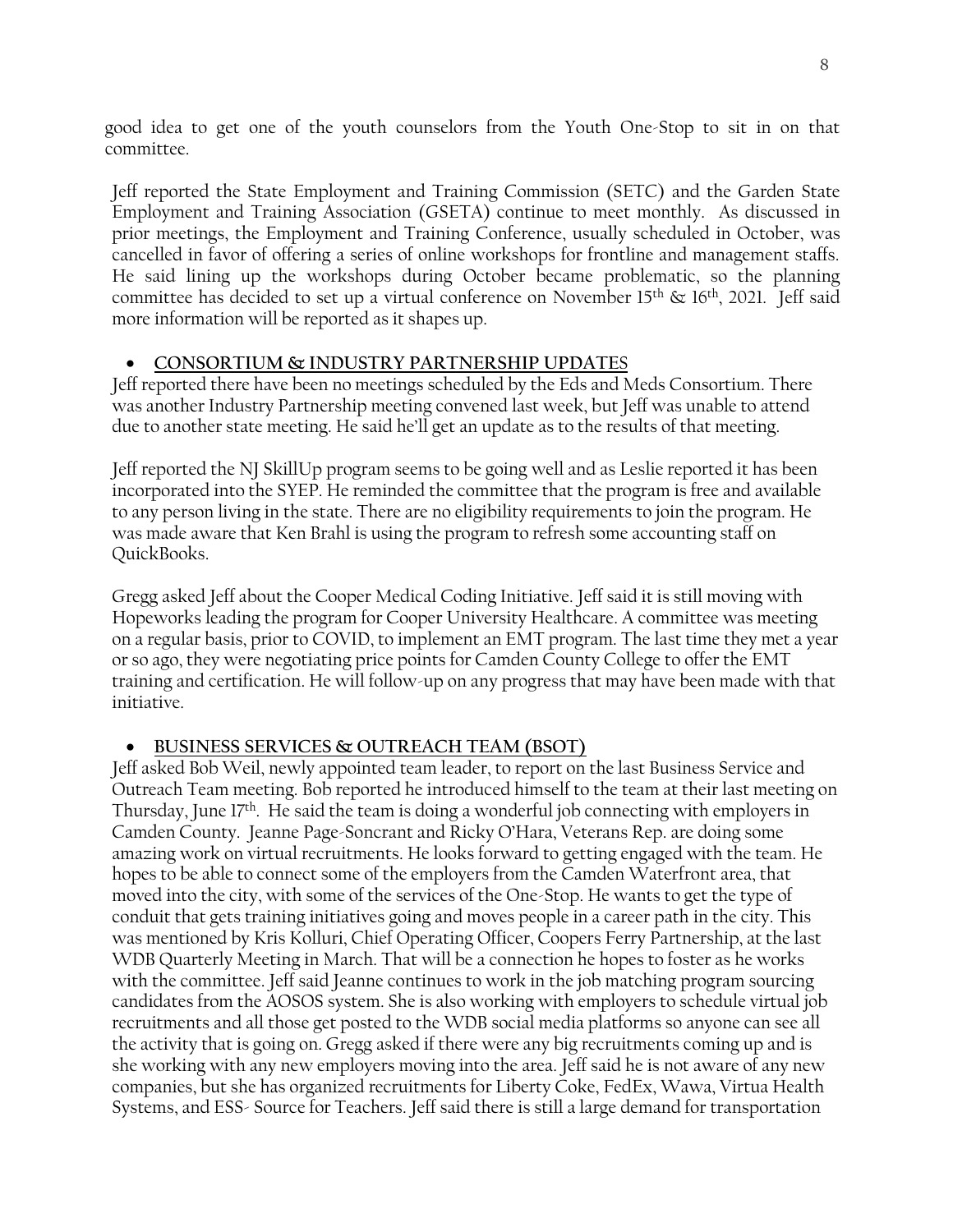good idea to get one of the youth counselors from the Youth One-Stop to sit in on that committee.

Jeff reported the State Employment and Training Commission (SETC) and the Garden State Employment and Training Association (GSETA) continue to meet monthly. As discussed in prior meetings, the Employment and Training Conference, usually scheduled in October, was cancelled in favor of offering a series of online workshops for frontline and management staffs. He said lining up the workshops during October became problematic, so the planning committee has decided to set up a virtual conference on November  $15<sup>th</sup>$  &  $16<sup>th</sup>$ , 2021. Jeff said more information will be reported as it shapes up.

## • **CONSORTIUM & INDUSTRY PARTNERSHIP UPDATE**S

Jeff reported there have been no meetings scheduled by the Eds and Meds Consortium. There was another Industry Partnership meeting convened last week, but Jeff was unable to attend due to another state meeting. He said he'll get an update as to the results of that meeting.

Jeff reported the NJ SkillUp program seems to be going well and as Leslie reported it has been incorporated into the SYEP. He reminded the committee that the program is free and available to any person living in the state. There are no eligibility requirements to join the program. He was made aware that Ken Brahl is using the program to refresh some accounting staff on QuickBooks.

Gregg asked Jeff about the Cooper Medical Coding Initiative. Jeff said it is still moving with Hopeworks leading the program for Cooper University Healthcare. A committee was meeting on a regular basis, prior to COVID, to implement an EMT program. The last time they met a year or so ago, they were negotiating price points for Camden County College to offer the EMT training and certification. He will follow-up on any progress that may have been made with that initiative.

# • **BUSINESS SERVICES & OUTREACH TEAM (BSOT)**

Jeff asked Bob Weil, newly appointed team leader, to report on the last Business Service and Outreach Team meeting. Bob reported he introduced himself to the team at their last meeting on Thursday, June  $17<sup>th</sup>$ . He said the team is doing a wonderful job connecting with employers in Camden County. Jeanne Page-Soncrant and Ricky O'Hara, Veterans Rep. are doing some amazing work on virtual recruitments. He looks forward to getting engaged with the team. He hopes to be able to connect some of the employers from the Camden Waterfront area, that moved into the city, with some of the services of the One-Stop. He wants to get the type of conduit that gets training initiatives going and moves people in a career path in the city. This was mentioned by Kris Kolluri, Chief Operating Officer, Coopers Ferry Partnership, at the last WDB Quarterly Meeting in March. That will be a connection he hopes to foster as he works with the committee. Jeff said Jeanne continues to work in the job matching program sourcing candidates from the AOSOS system. She is also working with employers to schedule virtual job recruitments and all those get posted to the WDB social media platforms so anyone can see all the activity that is going on. Gregg asked if there were any big recruitments coming up and is she working with any new employers moving into the area. Jeff said he is not aware of any new companies, but she has organized recruitments for Liberty Coke, FedEx, Wawa, Virtua Health Systems, and ESS- Source for Teachers. Jeff said there is still a large demand for transportation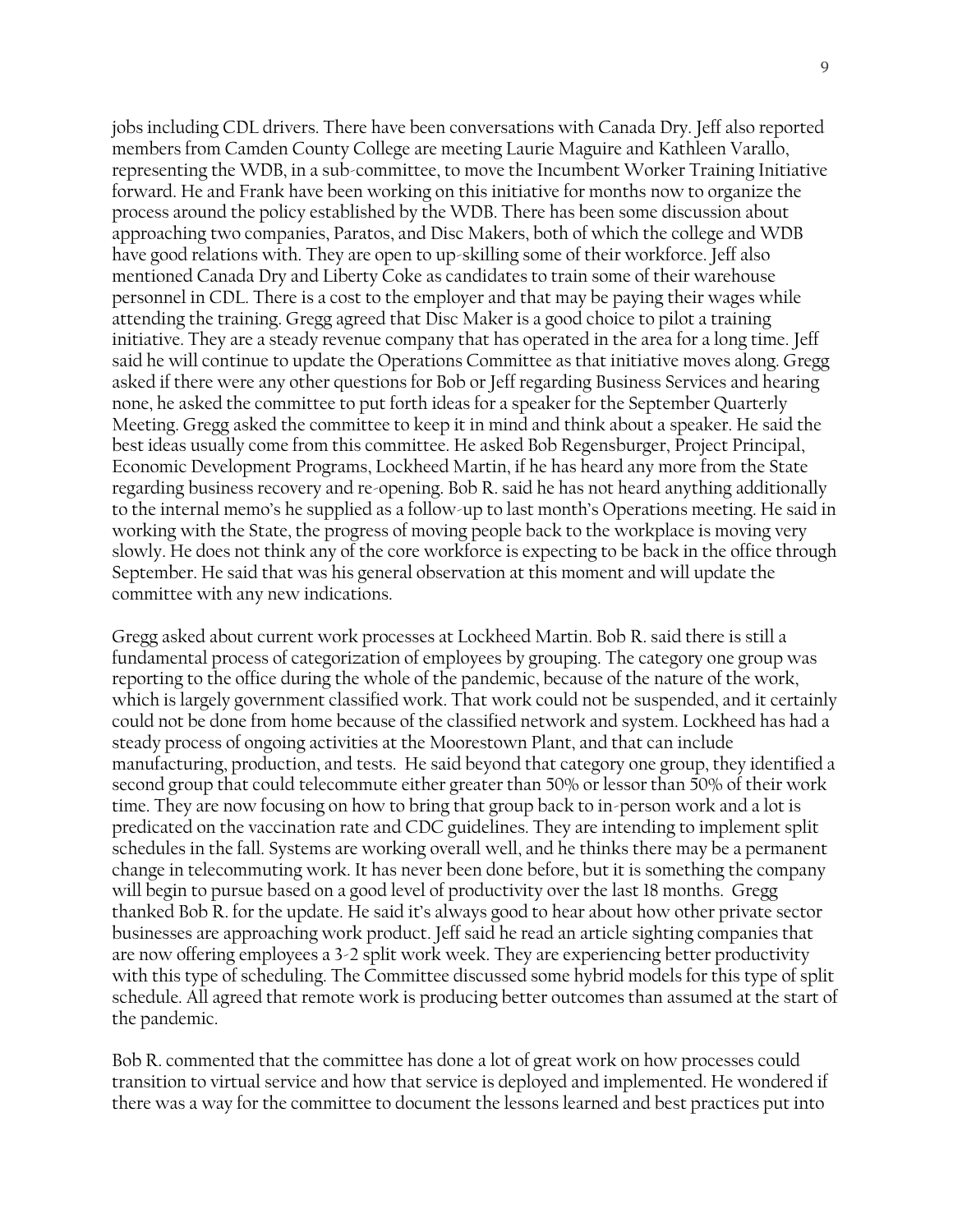jobs including CDL drivers. There have been conversations with Canada Dry. Jeff also reported members from Camden County College are meeting Laurie Maguire and Kathleen Varallo, representing the WDB, in a sub-committee, to move the Incumbent Worker Training Initiative forward. He and Frank have been working on this initiative for months now to organize the process around the policy established by the WDB. There has been some discussion about approaching two companies, Paratos, and Disc Makers, both of which the college and WDB have good relations with. They are open to up-skilling some of their workforce. Jeff also mentioned Canada Dry and Liberty Coke as candidates to train some of their warehouse personnel in CDL. There is a cost to the employer and that may be paying their wages while attending the training. Gregg agreed that Disc Maker is a good choice to pilot a training initiative. They are a steady revenue company that has operated in the area for a long time. Jeff said he will continue to update the Operations Committee as that initiative moves along. Gregg asked if there were any other questions for Bob or Jeff regarding Business Services and hearing none, he asked the committee to put forth ideas for a speaker for the September Quarterly Meeting. Gregg asked the committee to keep it in mind and think about a speaker. He said the best ideas usually come from this committee. He asked Bob Regensburger, Project Principal, Economic Development Programs, Lockheed Martin, if he has heard any more from the State regarding business recovery and re-opening. Bob R. said he has not heard anything additionally to the internal memo's he supplied as a follow-up to last month's Operations meeting. He said in working with the State, the progress of moving people back to the workplace is moving very slowly. He does not think any of the core workforce is expecting to be back in the office through September. He said that was his general observation at this moment and will update the committee with any new indications.

Gregg asked about current work processes at Lockheed Martin. Bob R. said there is still a fundamental process of categorization of employees by grouping. The category one group was reporting to the office during the whole of the pandemic, because of the nature of the work, which is largely government classified work. That work could not be suspended, and it certainly could not be done from home because of the classified network and system. Lockheed has had a steady process of ongoing activities at the Moorestown Plant, and that can include manufacturing, production, and tests. He said beyond that category one group, they identified a second group that could telecommute either greater than 50% or lessor than 50% of their work time. They are now focusing on how to bring that group back to in-person work and a lot is predicated on the vaccination rate and CDC guidelines. They are intending to implement split schedules in the fall. Systems are working overall well, and he thinks there may be a permanent change in telecommuting work. It has never been done before, but it is something the company will begin to pursue based on a good level of productivity over the last 18 months. Gregg thanked Bob R. for the update. He said it's always good to hear about how other private sector businesses are approaching work product. Jeff said he read an article sighting companies that are now offering employees a 3-2 split work week. They are experiencing better productivity with this type of scheduling. The Committee discussed some hybrid models for this type of split schedule. All agreed that remote work is producing better outcomes than assumed at the start of the pandemic.

Bob R. commented that the committee has done a lot of great work on how processes could transition to virtual service and how that service is deployed and implemented. He wondered if there was a way for the committee to document the lessons learned and best practices put into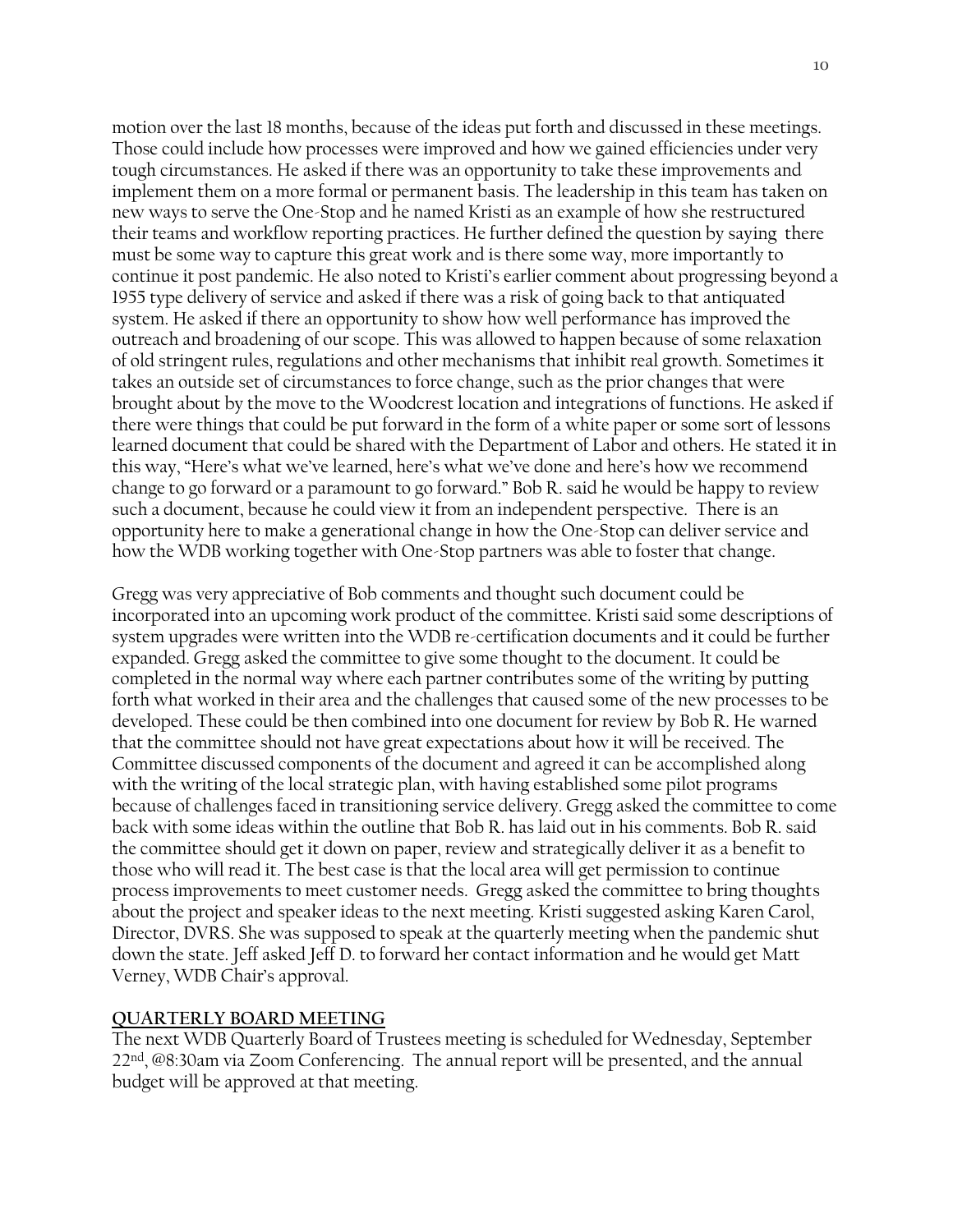motion over the last 18 months, because of the ideas put forth and discussed in these meetings. Those could include how processes were improved and how we gained efficiencies under very tough circumstances. He asked if there was an opportunity to take these improvements and implement them on a more formal or permanent basis. The leadership in this team has taken on new ways to serve the One-Stop and he named Kristi as an example of how she restructured their teams and workflow reporting practices. He further defined the question by saying there must be some way to capture this great work and is there some way, more importantly to continue it post pandemic. He also noted to Kristi's earlier comment about progressing beyond a 1955 type delivery of service and asked if there was a risk of going back to that antiquated system. He asked if there an opportunity to show how well performance has improved the outreach and broadening of our scope. This was allowed to happen because of some relaxation of old stringent rules, regulations and other mechanisms that inhibit real growth. Sometimes it takes an outside set of circumstances to force change, such as the prior changes that were brought about by the move to the Woodcrest location and integrations of functions. He asked if there were things that could be put forward in the form of a white paper or some sort of lessons learned document that could be shared with the Department of Labor and others. He stated it in this way, "Here's what we've learned, here's what we've done and here's how we recommend change to go forward or a paramount to go forward." Bob R. said he would be happy to review such a document, because he could view it from an independent perspective. There is an opportunity here to make a generational change in how the One-Stop can deliver service and how the WDB working together with One-Stop partners was able to foster that change.

Gregg was very appreciative of Bob comments and thought such document could be incorporated into an upcoming work product of the committee. Kristi said some descriptions of system upgrades were written into the WDB re-certification documents and it could be further expanded. Gregg asked the committee to give some thought to the document. It could be completed in the normal way where each partner contributes some of the writing by putting forth what worked in their area and the challenges that caused some of the new processes to be developed. These could be then combined into one document for review by Bob R. He warned that the committee should not have great expectations about how it will be received. The Committee discussed components of the document and agreed it can be accomplished along with the writing of the local strategic plan, with having established some pilot programs because of challenges faced in transitioning service delivery. Gregg asked the committee to come back with some ideas within the outline that Bob R. has laid out in his comments. Bob R. said the committee should get it down on paper, review and strategically deliver it as a benefit to those who will read it. The best case is that the local area will get permission to continue process improvements to meet customer needs. Gregg asked the committee to bring thoughts about the project and speaker ideas to the next meeting. Kristi suggested asking Karen Carol, Director, DVRS. She was supposed to speak at the quarterly meeting when the pandemic shut down the state. Jeff asked Jeff D. to forward her contact information and he would get Matt Verney, WDB Chair's approval.

#### **QUARTERLY BOARD MEETING**

The next WDB Quarterly Board of Trustees meeting is scheduled for Wednesday, September 22nd , @8:30am via Zoom Conferencing. The annual report will be presented, and the annual budget will be approved at that meeting.